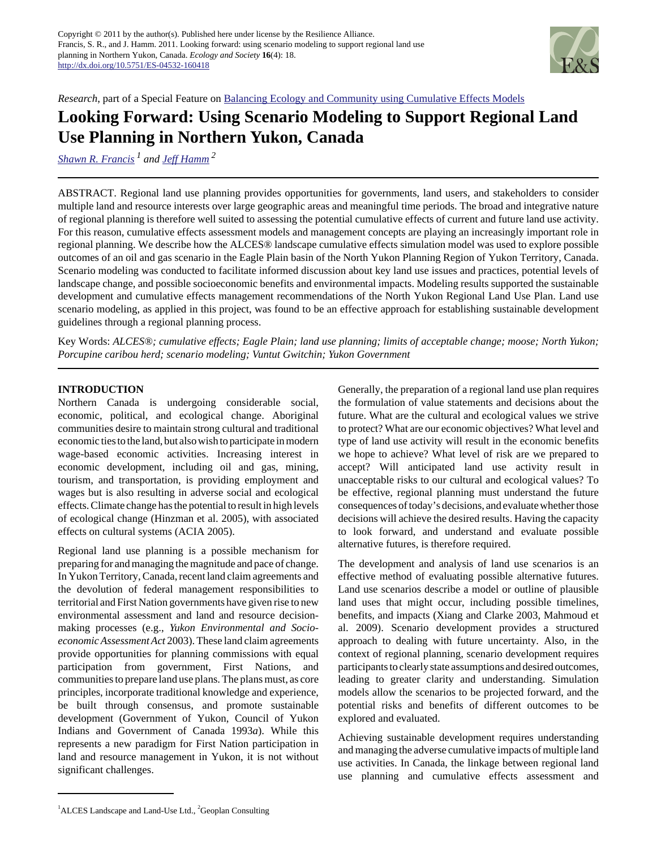

*Research*, part of a Special Feature on [Balancing Ecology and Community using Cumulative Effects Models](http://www.ecologyandsociety.org/viewissue.php?sf=55)

# **Looking Forward: Using Scenario Modeling to Support Regional Land Use Planning in Northern Yukon, Canada**

*[Shawn R. Francis](mailto:sfrancis@alces.ca) 1 and [Jeff Hamm](mailto:geoplan@geoprism.ca)<sup>2</sup>*

ABSTRACT. Regional land use planning provides opportunities for governments, land users, and stakeholders to consider multiple land and resource interests over large geographic areas and meaningful time periods. The broad and integrative nature of regional planning is therefore well suited to assessing the potential cumulative effects of current and future land use activity. For this reason, cumulative effects assessment models and management concepts are playing an increasingly important role in regional planning. We describe how the ALCES® landscape cumulative effects simulation model was used to explore possible outcomes of an oil and gas scenario in the Eagle Plain basin of the North Yukon Planning Region of Yukon Territory, Canada. Scenario modeling was conducted to facilitate informed discussion about key land use issues and practices, potential levels of landscape change, and possible socioeconomic benefits and environmental impacts. Modeling results supported the sustainable development and cumulative effects management recommendations of the North Yukon Regional Land Use Plan. Land use scenario modeling, as applied in this project, was found to be an effective approach for establishing sustainable development guidelines through a regional planning process.

Key Words: *ALCES®; cumulative effects; Eagle Plain; land use planning; limits of acceptable change; moose; North Yukon; Porcupine caribou herd; scenario modeling; Vuntut Gwitchin; Yukon Government* 

# **INTRODUCTION**

Northern Canada is undergoing considerable social, economic, political, and ecological change. Aboriginal communities desire to maintain strong cultural and traditional economic ties to the land, but also wish to participate in modern wage-based economic activities. Increasing interest in economic development, including oil and gas, mining, tourism, and transportation, is providing employment and wages but is also resulting in adverse social and ecological effects. Climate change has the potential to result in high levels of ecological change (Hinzman et al. 2005), with associated effects on cultural systems (ACIA 2005).

Regional land use planning is a possible mechanism for preparing for and managing the magnitude and pace of change. In Yukon Territory, Canada, recent land claim agreements and the devolution of federal management responsibilities to territorial and First Nation governments have given rise to new environmental assessment and land and resource decisionmaking processes (e.g., *Yukon Environmental and Socioeconomic Assessment Act* 2003). These land claim agreements provide opportunities for planning commissions with equal participation from government, First Nations, and communities to prepare land use plans. The plans must, as core principles, incorporate traditional knowledge and experience, be built through consensus, and promote sustainable development (Government of Yukon, Council of Yukon Indians and Government of Canada 1993*a*). While this represents a new paradigm for First Nation participation in land and resource management in Yukon, it is not without significant challenges.

Generally, the preparation of a regional land use plan requires the formulation of value statements and decisions about the future. What are the cultural and ecological values we strive to protect? What are our economic objectives? What level and type of land use activity will result in the economic benefits we hope to achieve? What level of risk are we prepared to accept? Will anticipated land use activity result in unacceptable risks to our cultural and ecological values? To be effective, regional planning must understand the future consequences of today's decisions, and evaluate whether those decisions will achieve the desired results. Having the capacity to look forward, and understand and evaluate possible alternative futures, is therefore required.

The development and analysis of land use scenarios is an effective method of evaluating possible alternative futures. Land use scenarios describe a model or outline of plausible land uses that might occur, including possible timelines, benefits, and impacts (Xiang and Clarke 2003, Mahmoud et al. 2009). Scenario development provides a structured approach to dealing with future uncertainty. Also, in the context of regional planning, scenario development requires participants to clearly state assumptions and desired outcomes, leading to greater clarity and understanding. Simulation models allow the scenarios to be projected forward, and the potential risks and benefits of different outcomes to be explored and evaluated.

Achieving sustainable development requires understanding and managing the adverse cumulative impacts of multiple land use activities. In Canada, the linkage between regional land use planning and cumulative effects assessment and

 ${}^{1}$ ALCES Landscape and Land-Use Ltd.,  ${}^{2}$ Geoplan Consulting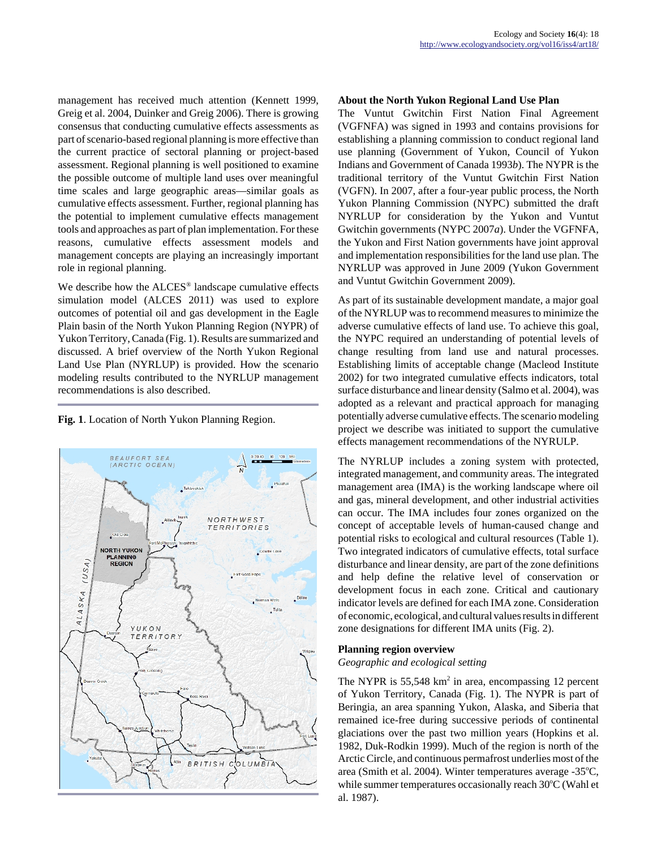management has received much attention (Kennett 1999, Greig et al. 2004, Duinker and Greig 2006). There is growing consensus that conducting cumulative effects assessments as part of scenario-based regional planning is more effective than the current practice of sectoral planning or project-based assessment. Regional planning is well positioned to examine the possible outcome of multiple land uses over meaningful time scales and large geographic areas—similar goals as cumulative effects assessment. Further, regional planning has the potential to implement cumulative effects management tools and approaches as part of plan implementation. For these reasons, cumulative effects assessment models and management concepts are playing an increasingly important role in regional planning.

We describe how the ALCES<sup>®</sup> landscape cumulative effects simulation model (ALCES 2011) was used to explore outcomes of potential oil and gas development in the Eagle Plain basin of the North Yukon Planning Region (NYPR) of Yukon Territory, Canada (Fig. 1). Results are summarized and discussed. A brief overview of the North Yukon Regional Land Use Plan (NYRLUP) is provided. How the scenario modeling results contributed to the NYRLUP management recommendations is also described.

**Fig. 1**. Location of North Yukon Planning Region.



#### **About the North Yukon Regional Land Use Plan**

The Vuntut Gwitchin First Nation Final Agreement (VGFNFA) was signed in 1993 and contains provisions for establishing a planning commission to conduct regional land use planning (Government of Yukon, Council of Yukon Indians and Government of Canada 1993*b*). The NYPR is the traditional territory of the Vuntut Gwitchin First Nation (VGFN). In 2007, after a four-year public process, the North Yukon Planning Commission (NYPC) submitted the draft NYRLUP for consideration by the Yukon and Vuntut Gwitchin governments (NYPC 2007*a*). Under the VGFNFA, the Yukon and First Nation governments have joint approval and implementation responsibilities for the land use plan. The NYRLUP was approved in June 2009 (Yukon Government and Vuntut Gwitchin Government 2009).

As part of its sustainable development mandate, a major goal of the NYRLUP was to recommend measures to minimize the adverse cumulative effects of land use. To achieve this goal, the NYPC required an understanding of potential levels of change resulting from land use and natural processes. Establishing limits of acceptable change (Macleod Institute 2002) for two integrated cumulative effects indicators, total surface disturbance and linear density (Salmo et al. 2004), was adopted as a relevant and practical approach for managing potentially adverse cumulative effects. The scenario modeling project we describe was initiated to support the cumulative effects management recommendations of the NYRULP.

The NYRLUP includes a zoning system with protected, integrated management, and community areas. The integrated management area (IMA) is the working landscape where oil and gas, mineral development, and other industrial activities can occur. The IMA includes four zones organized on the concept of acceptable levels of human-caused change and potential risks to ecological and cultural resources (Table 1). Two integrated indicators of cumulative effects, total surface disturbance and linear density, are part of the zone definitions and help define the relative level of conservation or development focus in each zone. Critical and cautionary indicator levels are defined for each IMA zone. Consideration of economic, ecological, and cultural values results in different zone designations for different IMA units (Fig. 2).

## **Planning region overview**

*Geographic and ecological setting*

The NYPR is  $55,548 \text{ km}^2$  in area, encompassing 12 percent of Yukon Territory, Canada (Fig. 1). The NYPR is part of Beringia, an area spanning Yukon, Alaska, and Siberia that remained ice-free during successive periods of continental glaciations over the past two million years (Hopkins et al. 1982, Duk-Rodkin 1999). Much of the region is north of the Arctic Circle, and continuous permafrost underlies most of the area (Smith et al. 2004). Winter temperatures average -35°C, while summer temperatures occasionally reach 30°C (Wahl et al. 1987).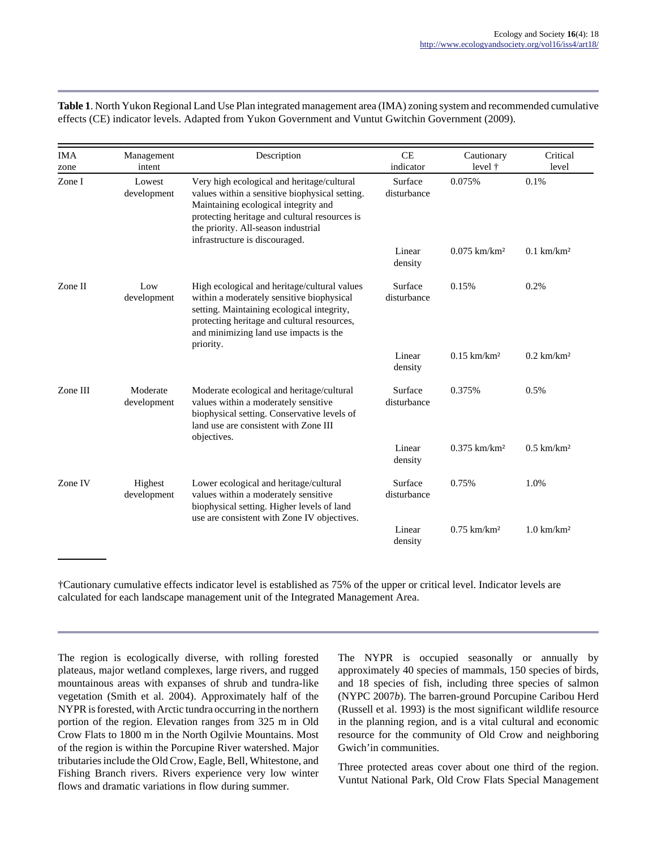| Table 1. North Yukon Regional Land Use Plan integrated management area (IMA) zoning system and recommended cumulative |
|-----------------------------------------------------------------------------------------------------------------------|
| effects (CE) indicator levels. Adapted from Yukon Government and Vuntut Gwitchin Government (2009).                   |

| <b>IMA</b><br>zone | Management<br>intent    | Description                                                                                                                                                                                                                                                    | CE<br>indicator        | Cautionary<br>level †      | Critical<br>level        |
|--------------------|-------------------------|----------------------------------------------------------------------------------------------------------------------------------------------------------------------------------------------------------------------------------------------------------------|------------------------|----------------------------|--------------------------|
| Zone I             | Lowest<br>development   | Very high ecological and heritage/cultural<br>values within a sensitive biophysical setting.<br>Maintaining ecological integrity and<br>protecting heritage and cultural resources is<br>the priority. All-season industrial<br>infrastructure is discouraged. | Surface<br>disturbance | 0.075%                     | 0.1%                     |
|                    |                         |                                                                                                                                                                                                                                                                | Linear<br>density      | $0.075$ km/km <sup>2</sup> | $0.1$ km/km <sup>2</sup> |
| Zone II            | Low<br>development      | High ecological and heritage/cultural values<br>within a moderately sensitive biophysical<br>setting. Maintaining ecological integrity,<br>protecting heritage and cultural resources,<br>and minimizing land use impacts is the<br>priority.                  | Surface<br>disturbance | 0.15%                      | 0.2%                     |
|                    |                         |                                                                                                                                                                                                                                                                | Linear<br>density      | $0.15 \text{ km/km}^2$     | $0.2$ km/km <sup>2</sup> |
| Zone III           | Moderate<br>development | Moderate ecological and heritage/cultural<br>values within a moderately sensitive<br>biophysical setting. Conservative levels of<br>land use are consistent with Zone III<br>objectives.                                                                       | Surface<br>disturbance | 0.375%                     | 0.5%                     |
|                    |                         |                                                                                                                                                                                                                                                                | Linear<br>density      | $0.375$ km/km <sup>2</sup> | $0.5$ km/km <sup>2</sup> |
| Zone IV            | Highest<br>development  | Lower ecological and heritage/cultural<br>values within a moderately sensitive<br>biophysical setting. Higher levels of land<br>use are consistent with Zone IV objectives.                                                                                    | Surface<br>disturbance | 0.75%                      | 1.0%                     |
|                    |                         |                                                                                                                                                                                                                                                                | Linear<br>density      | $0.75$ km/km <sup>2</sup>  | $1.0 \text{ km/km}^2$    |

<sup>†</sup>Cautionary cumulative effects indicator level is established as 75% of the upper or critical level. Indicator levels are calculated for each landscape management unit of the Integrated Management Area.

The region is ecologically diverse, with rolling forested plateaus, major wetland complexes, large rivers, and rugged mountainous areas with expanses of shrub and tundra-like vegetation (Smith et al. 2004). Approximately half of the NYPR is forested, with Arctic tundra occurring in the northern portion of the region. Elevation ranges from 325 m in Old Crow Flats to 1800 m in the North Ogilvie Mountains. Most of the region is within the Porcupine River watershed. Major tributaries include the Old Crow, Eagle, Bell, Whitestone, and Fishing Branch rivers. Rivers experience very low winter flows and dramatic variations in flow during summer.

The NYPR is occupied seasonally or annually by approximately 40 species of mammals, 150 species of birds, and 18 species of fish, including three species of salmon (NYPC 2007*b*). The barren-ground Porcupine Caribou Herd (Russell et al. 1993) is the most significant wildlife resource in the planning region, and is a vital cultural and economic resource for the community of Old Crow and neighboring Gwich'in communities.

Three protected areas cover about one third of the region. Vuntut National Park, Old Crow Flats Special Management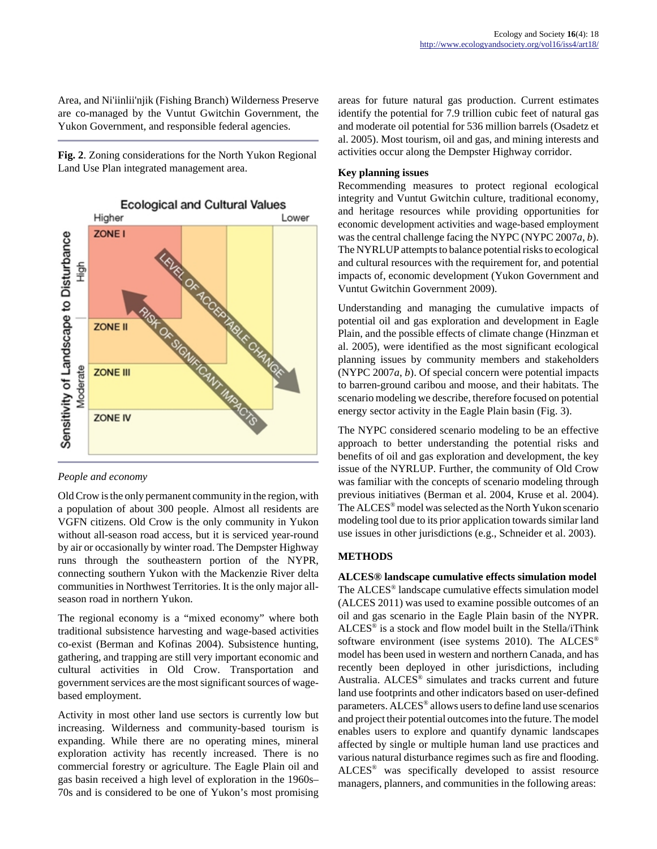Area, and Ni'iinlii'njik (Fishing Branch) Wilderness Preserve are co-managed by the Vuntut Gwitchin Government, the Yukon Government, and responsible federal agencies.

**Fig. 2**. Zoning considerations for the North Yukon Regional Land Use Plan integrated management area.



*People and economy*

Old Crow is the only permanent community in the region, with a population of about 300 people. Almost all residents are VGFN citizens. Old Crow is the only community in Yukon without all-season road access, but it is serviced year-round by air or occasionally by winter road. The Dempster Highway runs through the southeastern portion of the NYPR, connecting southern Yukon with the Mackenzie River delta communities in Northwest Territories. It is the only major allseason road in northern Yukon.

The regional economy is a "mixed economy" where both traditional subsistence harvesting and wage-based activities co-exist (Berman and Kofinas 2004). Subsistence hunting, gathering, and trapping are still very important economic and cultural activities in Old Crow. Transportation and government services are the most significant sources of wagebased employment.

Activity in most other land use sectors is currently low but increasing. Wilderness and community-based tourism is expanding. While there are no operating mines, mineral exploration activity has recently increased. There is no commercial forestry or agriculture. The Eagle Plain oil and gas basin received a high level of exploration in the 1960s– 70s and is considered to be one of Yukon's most promising areas for future natural gas production. Current estimates identify the potential for 7.9 trillion cubic feet of natural gas and moderate oil potential for 536 million barrels (Osadetz et al. 2005). Most tourism, oil and gas, and mining interests and activities occur along the Dempster Highway corridor.

# **Key planning issues**

Recommending measures to protect regional ecological integrity and Vuntut Gwitchin culture, traditional economy, and heritage resources while providing opportunities for economic development activities and wage-based employment was the central challenge facing the NYPC (NYPC 2007*a*, *b*). The NYRLUP attempts to balance potential risks to ecological and cultural resources with the requirement for, and potential impacts of, economic development (Yukon Government and Vuntut Gwitchin Government 2009).

Understanding and managing the cumulative impacts of potential oil and gas exploration and development in Eagle Plain, and the possible effects of climate change (Hinzman et al. 2005), were identified as the most significant ecological planning issues by community members and stakeholders (NYPC 2007*a*, *b*). Of special concern were potential impacts to barren-ground caribou and moose, and their habitats. The scenario modeling we describe, therefore focused on potential energy sector activity in the Eagle Plain basin (Fig. 3).

The NYPC considered scenario modeling to be an effective approach to better understanding the potential risks and benefits of oil and gas exploration and development, the key issue of the NYRLUP. Further, the community of Old Crow was familiar with the concepts of scenario modeling through previous initiatives (Berman et al. 2004, Kruse et al. 2004). The ALCES® model was selected as the North Yukon scenario modeling tool due to its prior application towards similar land use issues in other jurisdictions (e.g., Schneider et al. 2003).

# **METHODS**

**ALCES® landscape cumulative effects simulation model** The ALCES® landscape cumulative effects simulation model (ALCES 2011) was used to examine possible outcomes of an oil and gas scenario in the Eagle Plain basin of the NYPR. ALCES® is a stock and flow model built in the Stella/iThink software environment (isee systems 2010). The ALCES® model has been used in western and northern Canada, and has recently been deployed in other jurisdictions, including Australia. ALCES® simulates and tracks current and future land use footprints and other indicators based on user-defined parameters. ALCES® allows users to define land use scenarios and project their potential outcomes into the future. The model enables users to explore and quantify dynamic landscapes affected by single or multiple human land use practices and various natural disturbance regimes such as fire and flooding. ALCES® was specifically developed to assist resource managers, planners, and communities in the following areas: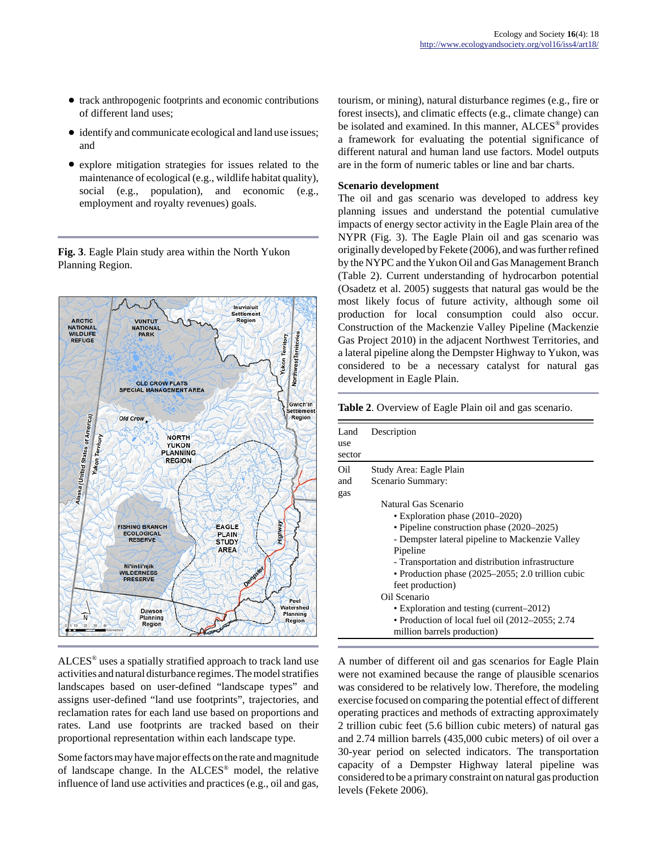- track anthropogenic footprints and economic contributions of different land uses;
- identify and communicate ecological and land use issues; and
- explore mitigation strategies for issues related to the maintenance of ecological (e.g., wildlife habitat quality), social (e.g., population), and economic (e.g., employment and royalty revenues) goals.

**Fig. 3**. Eagle Plain study area within the North Yukon Planning Region.



ALCES<sup>®</sup> uses a spatially stratified approach to track land use activities and natural disturbance regimes. The model stratifies landscapes based on user-defined "landscape types" and assigns user-defined "land use footprints", trajectories, and reclamation rates for each land use based on proportions and rates. Land use footprints are tracked based on their proportional representation within each landscape type.

Some factors may have major effects on the rate and magnitude of landscape change. In the ALCES® model, the relative influence of land use activities and practices (e.g., oil and gas, tourism, or mining), natural disturbance regimes (e.g., fire or forest insects), and climatic effects (e.g., climate change) can be isolated and examined. In this manner, ALCES® provides a framework for evaluating the potential significance of different natural and human land use factors. Model outputs are in the form of numeric tables or line and bar charts.

## **Scenario development**

The oil and gas scenario was developed to address key planning issues and understand the potential cumulative impacts of energy sector activity in the Eagle Plain area of the NYPR (Fig. 3). The Eagle Plain oil and gas scenario was originally developed by Fekete (2006), and was further refined by the NYPC and the Yukon Oil and Gas Management Branch (Table 2). Current understanding of hydrocarbon potential (Osadetz et al. 2005) suggests that natural gas would be the most likely focus of future activity, although some oil production for local consumption could also occur. Construction of the Mackenzie Valley Pipeline (Mackenzie Gas Project 2010) in the adjacent Northwest Territories, and a lateral pipeline along the Dempster Highway to Yukon, was considered to be a necessary catalyst for natural gas development in Eagle Plain.

**Table 2**. Overview of Eagle Plain oil and gas scenario.

| Land<br>use<br>sector | Description                                                                                                                                                                                                                                                                                                                                                                                                                                     |
|-----------------------|-------------------------------------------------------------------------------------------------------------------------------------------------------------------------------------------------------------------------------------------------------------------------------------------------------------------------------------------------------------------------------------------------------------------------------------------------|
| Oil<br>and            | Study Area: Eagle Plain<br>Scenario Summary:                                                                                                                                                                                                                                                                                                                                                                                                    |
| gas                   | Natural Gas Scenario<br>• Exploration phase (2010–2020)<br>• Pipeline construction phase (2020–2025)<br>- Dempster lateral pipeline to Mackenzie Valley<br>Pipeline<br>- Transportation and distribution infrastructure<br>• Production phase (2025–2055; 2.0 trillion cubic<br>feet production)<br>Oil Scenario<br>• Exploration and testing (current–2012)<br>• Production of local fuel oil (2012–2055; 2.74)<br>million barrels production) |

A number of different oil and gas scenarios for Eagle Plain were not examined because the range of plausible scenarios was considered to be relatively low. Therefore, the modeling exercise focused on comparing the potential effect of different operating practices and methods of extracting approximately 2 trillion cubic feet (5.6 billion cubic meters) of natural gas and 2.74 million barrels (435,000 cubic meters) of oil over a 30-year period on selected indicators. The transportation capacity of a Dempster Highway lateral pipeline was considered to be a primary constraint on natural gas production levels (Fekete 2006).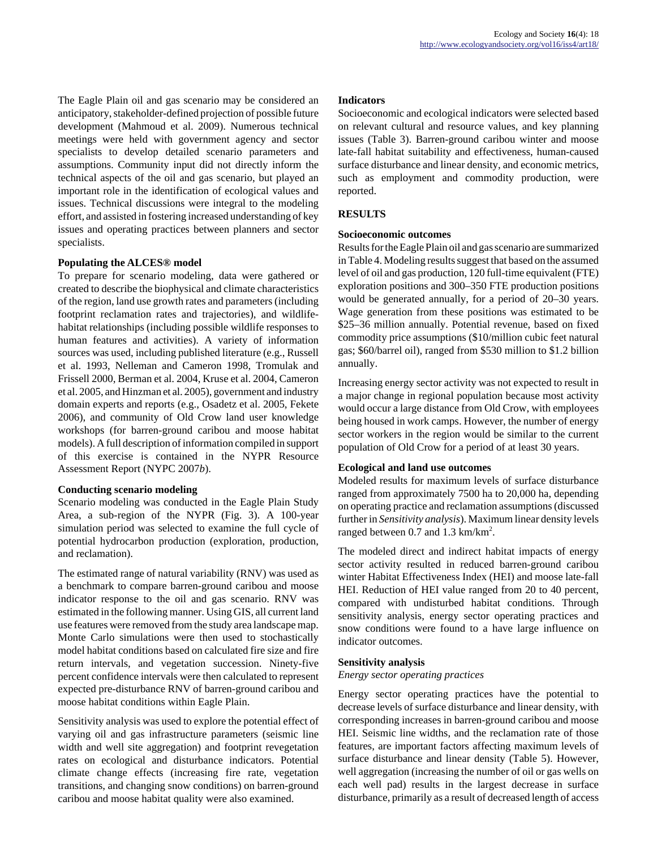The Eagle Plain oil and gas scenario may be considered an anticipatory, stakeholder-defined projection of possible future development (Mahmoud et al. 2009). Numerous technical meetings were held with government agency and sector specialists to develop detailed scenario parameters and assumptions. Community input did not directly inform the technical aspects of the oil and gas scenario, but played an important role in the identification of ecological values and issues. Technical discussions were integral to the modeling effort, and assisted in fostering increased understanding of key issues and operating practices between planners and sector specialists.

# **Populating the ALCES® model**

To prepare for scenario modeling, data were gathered or created to describe the biophysical and climate characteristics of the region, land use growth rates and parameters (including footprint reclamation rates and trajectories), and wildlifehabitat relationships (including possible wildlife responses to human features and activities). A variety of information sources was used, including published literature (e.g., Russell et al. 1993, Nelleman and Cameron 1998, Tromulak and Frissell 2000, Berman et al. 2004, Kruse et al. 2004, Cameron et al. 2005, and Hinzman et al. 2005), government and industry domain experts and reports (e.g., Osadetz et al. 2005, Fekete 2006), and community of Old Crow land user knowledge workshops (for barren-ground caribou and moose habitat models). A full description of information compiled in support of this exercise is contained in the NYPR Resource Assessment Report (NYPC 2007*b*).

# **Conducting scenario modeling**

Scenario modeling was conducted in the Eagle Plain Study Area, a sub-region of the NYPR (Fig. 3). A 100-year simulation period was selected to examine the full cycle of potential hydrocarbon production (exploration, production, and reclamation).

The estimated range of natural variability (RNV) was used as a benchmark to compare barren-ground caribou and moose indicator response to the oil and gas scenario. RNV was estimated in the following manner. Using GIS, all current land use features were removed from the study area landscape map. Monte Carlo simulations were then used to stochastically model habitat conditions based on calculated fire size and fire return intervals, and vegetation succession. Ninety-five percent confidence intervals were then calculated to represent expected pre-disturbance RNV of barren-ground caribou and moose habitat conditions within Eagle Plain.

Sensitivity analysis was used to explore the potential effect of varying oil and gas infrastructure parameters (seismic line width and well site aggregation) and footprint revegetation rates on ecological and disturbance indicators. Potential climate change effects (increasing fire rate, vegetation transitions, and changing snow conditions) on barren-ground caribou and moose habitat quality were also examined.

## **Indicators**

Socioeconomic and ecological indicators were selected based on relevant cultural and resource values, and key planning issues (Table 3). Barren-ground caribou winter and moose late-fall habitat suitability and effectiveness, human-caused surface disturbance and linear density, and economic metrics, such as employment and commodity production, were reported.

# **RESULTS**

# **Socioeconomic outcomes**

Results for the Eagle Plain oil and gas scenario are summarized in Table 4. Modeling results suggest that based on the assumed level of oil and gas production, 120 full-time equivalent (FTE) exploration positions and 300–350 FTE production positions would be generated annually, for a period of 20–30 years. Wage generation from these positions was estimated to be \$25–36 million annually. Potential revenue, based on fixed commodity price assumptions (\$10/million cubic feet natural gas; \$60/barrel oil), ranged from \$530 million to \$1.2 billion annually.

Increasing energy sector activity was not expected to result in a major change in regional population because most activity would occur a large distance from Old Crow, with employees being housed in work camps. However, the number of energy sector workers in the region would be similar to the current population of Old Crow for a period of at least 30 years.

# **Ecological and land use outcomes**

Modeled results for maximum levels of surface disturbance ranged from approximately 7500 ha to 20,000 ha, depending on operating practice and reclamation assumptions (discussed further in *Sensitivity analysis*). Maximum linear density levels ranged between  $0.7$  and  $1.3$  km/km<sup>2</sup>.

The modeled direct and indirect habitat impacts of energy sector activity resulted in reduced barren-ground caribou winter Habitat Effectiveness Index (HEI) and moose late-fall HEI. Reduction of HEI value ranged from 20 to 40 percent, compared with undisturbed habitat conditions. Through sensitivity analysis, energy sector operating practices and snow conditions were found to a have large influence on indicator outcomes.

# **Sensitivity analysis**

#### *Energy sector operating practices*

Energy sector operating practices have the potential to decrease levels of surface disturbance and linear density, with corresponding increases in barren-ground caribou and moose HEI. Seismic line widths, and the reclamation rate of those features, are important factors affecting maximum levels of surface disturbance and linear density (Table 5). However, well aggregation (increasing the number of oil or gas wells on each well pad) results in the largest decrease in surface disturbance, primarily as a result of decreased length of access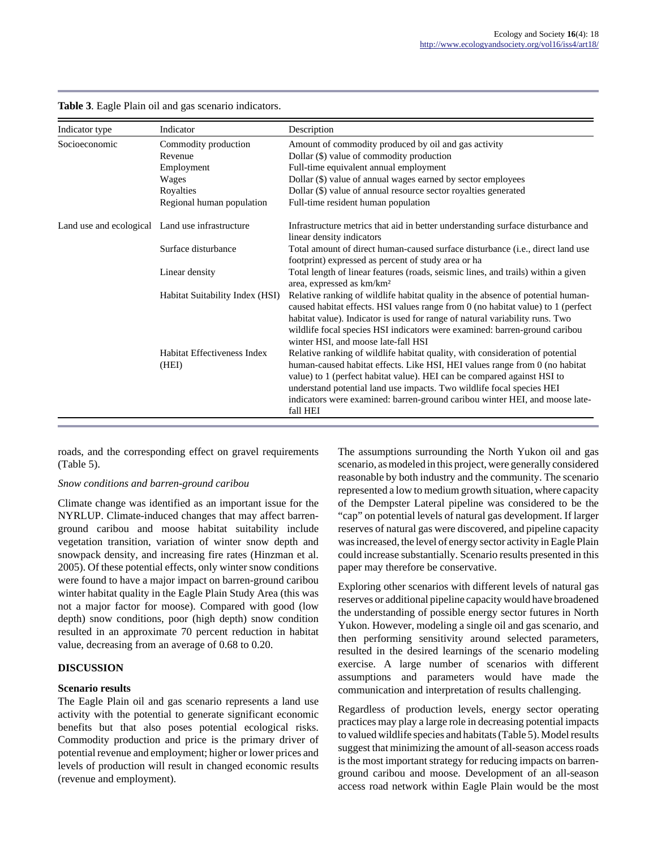| Indicator type                                  | Indicator                            | Description                                                                                                                                                                                                                                                                                                                                                                                                 |
|-------------------------------------------------|--------------------------------------|-------------------------------------------------------------------------------------------------------------------------------------------------------------------------------------------------------------------------------------------------------------------------------------------------------------------------------------------------------------------------------------------------------------|
| Socioeconomic                                   | Commodity production                 | Amount of commodity produced by oil and gas activity                                                                                                                                                                                                                                                                                                                                                        |
|                                                 | Revenue                              | Dollar (\$) value of commodity production                                                                                                                                                                                                                                                                                                                                                                   |
|                                                 | Employment                           | Full-time equivalent annual employment                                                                                                                                                                                                                                                                                                                                                                      |
|                                                 | Wages                                | Dollar (\$) value of annual wages earned by sector employees                                                                                                                                                                                                                                                                                                                                                |
|                                                 | Royalties                            | Dollar (\$) value of annual resource sector royalties generated                                                                                                                                                                                                                                                                                                                                             |
|                                                 | Regional human population            | Full-time resident human population                                                                                                                                                                                                                                                                                                                                                                         |
| Land use and ecological Land use infrastructure |                                      | Infrastructure metrics that aid in better understanding surface disturbance and<br>linear density indicators                                                                                                                                                                                                                                                                                                |
|                                                 | Surface disturbance                  | Total amount of direct human-caused surface disturbance ( <i>i.e.</i> , direct land use<br>footprint) expressed as percent of study area or ha                                                                                                                                                                                                                                                              |
|                                                 | Linear density                       | Total length of linear features (roads, seismic lines, and trails) within a given<br>area, expressed as km/km <sup>2</sup>                                                                                                                                                                                                                                                                                  |
|                                                 | Habitat Suitability Index (HSI)      | Relative ranking of wildlife habitat quality in the absence of potential human-<br>caused habitat effects. HSI values range from 0 (no habitat value) to 1 (perfect<br>habitat value). Indicator is used for range of natural variability runs. Two<br>wildlife focal species HSI indicators were examined: barren-ground caribou<br>winter HSI, and moose late-fall HSI                                    |
|                                                 | Habitat Effectiveness Index<br>(HEI) | Relative ranking of wildlife habitat quality, with consideration of potential<br>human-caused habitat effects. Like HSI, HEI values range from 0 (no habitat<br>value) to 1 (perfect habitat value). HEI can be compared against HSI to<br>understand potential land use impacts. Two wildlife focal species HEI<br>indicators were examined: barren-ground caribou winter HEI, and moose late-<br>fall HEI |

**Table 3**. Eagle Plain oil and gas scenario indicators.

roads, and the corresponding effect on gravel requirements (Table 5).

## *Snow conditions and barren-ground caribou*

Climate change was identified as an important issue for the NYRLUP. Climate-induced changes that may affect barrenground caribou and moose habitat suitability include vegetation transition, variation of winter snow depth and snowpack density, and increasing fire rates (Hinzman et al. 2005). Of these potential effects, only winter snow conditions were found to have a major impact on barren-ground caribou winter habitat quality in the Eagle Plain Study Area (this was not a major factor for moose). Compared with good (low depth) snow conditions, poor (high depth) snow condition resulted in an approximate 70 percent reduction in habitat value, decreasing from an average of 0.68 to 0.20.

# **DISCUSSION**

#### **Scenario results**

The Eagle Plain oil and gas scenario represents a land use activity with the potential to generate significant economic benefits but that also poses potential ecological risks. Commodity production and price is the primary driver of potential revenue and employment; higher or lower prices and levels of production will result in changed economic results (revenue and employment).

The assumptions surrounding the North Yukon oil and gas scenario, as modeled in this project, were generally considered reasonable by both industry and the community. The scenario represented a low to medium growth situation, where capacity of the Dempster Lateral pipeline was considered to be the "cap" on potential levels of natural gas development. If larger reserves of natural gas were discovered, and pipeline capacity was increased, the level of energy sector activity in Eagle Plain could increase substantially. Scenario results presented in this paper may therefore be conservative.

Exploring other scenarios with different levels of natural gas reserves or additional pipeline capacity would have broadened the understanding of possible energy sector futures in North Yukon. However, modeling a single oil and gas scenario, and then performing sensitivity around selected parameters, resulted in the desired learnings of the scenario modeling exercise. A large number of scenarios with different assumptions and parameters would have made the communication and interpretation of results challenging.

Regardless of production levels, energy sector operating practices may play a large role in decreasing potential impacts to valued wildlife species and habitats (Table 5). Model results suggest that minimizing the amount of all-season access roads is the most important strategy for reducing impacts on barrenground caribou and moose. Development of an all-season access road network within Eagle Plain would be the most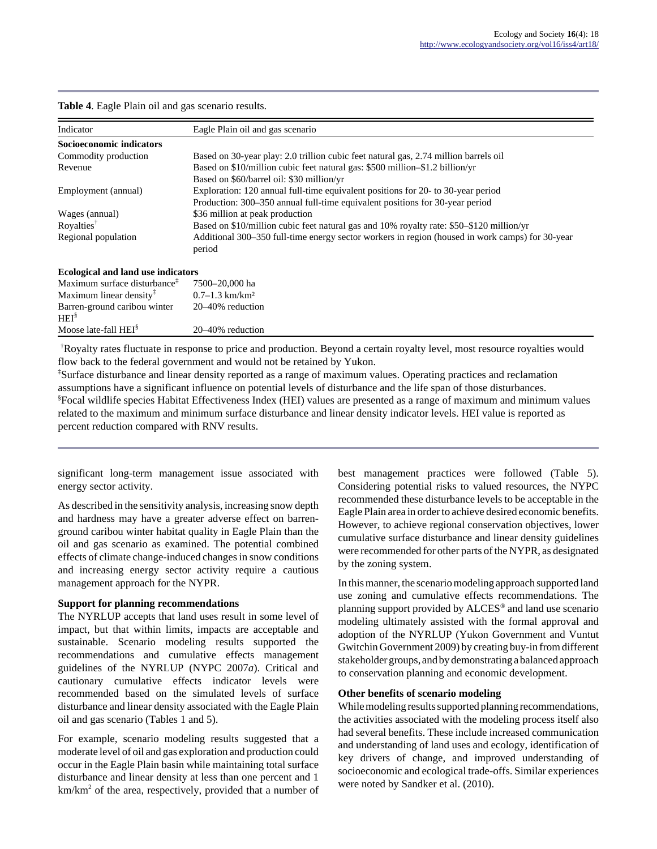| Indicator                                                                                                          | Eagle Plain oil and gas scenario                                                                          |  |  |
|--------------------------------------------------------------------------------------------------------------------|-----------------------------------------------------------------------------------------------------------|--|--|
| Socioeconomic indicators                                                                                           |                                                                                                           |  |  |
| Commodity production                                                                                               | Based on 30-year play: 2.0 trillion cubic feet natural gas, 2.74 million barrels oil                      |  |  |
| Revenue                                                                                                            | Based on \$10/million cubic feet natural gas: \$500 million-\$1.2 billion/yr                              |  |  |
|                                                                                                                    | Based on \$60/barrel oil: \$30 million/yr                                                                 |  |  |
| Employment (annual)                                                                                                | Exploration: 120 annual full-time equivalent positions for 20- to 30-year period                          |  |  |
|                                                                                                                    | Production: 300–350 annual full-time equivalent positions for 30-year period                              |  |  |
| Wages (annual)<br>\$36 million at peak production                                                                  |                                                                                                           |  |  |
| Royalties $^{\dagger}$<br>Based on \$10/million cubic feet natural gas and 10% royalty rate: \$50–\$120 million/yr |                                                                                                           |  |  |
| Regional population                                                                                                | Additional 300–350 full-time energy sector workers in region (housed in work camps) for 30-year<br>period |  |  |
| <b>Ecological and land use indicators</b>                                                                          |                                                                                                           |  |  |
| Maximum surface disturbance $\bar{i}$<br>7500-20,000 ha                                                            |                                                                                                           |  |  |
| Maximum linear density <sup>‡</sup>                                                                                | $0.7 - 1.3$ km/km <sup>2</sup>                                                                            |  |  |
| Barren-ground caribou winter                                                                                       | 20–40% reduction                                                                                          |  |  |
| HEI <sup>§</sup>                                                                                                   |                                                                                                           |  |  |
| Moose late-fall HEI <sup>§</sup>                                                                                   | 20–40% reduction                                                                                          |  |  |

**Table 4**. Eagle Plain oil and gas scenario results.

†Royalty rates fluctuate in response to price and production. Beyond a certain royalty level, most resource royalties would flow back to the federal government and would not be retained by Yukon.

‡Surface disturbance and linear density reported as a range of maximum values. Operating practices and reclamation assumptions have a significant influence on potential levels of disturbance and the life span of those disturbances. §Focal wildlife species Habitat Effectiveness Index (HEI) values are presented as a range of maximum and minimum values related to the maximum and minimum surface disturbance and linear density indicator levels. HEI value is reported as percent reduction compared with RNV results.

significant long-term management issue associated with energy sector activity.

As described in the sensitivity analysis, increasing snow depth and hardness may have a greater adverse effect on barrenground caribou winter habitat quality in Eagle Plain than the oil and gas scenario as examined. The potential combined effects of climate change-induced changes in snow conditions and increasing energy sector activity require a cautious management approach for the NYPR.

# **Support for planning recommendations**

The NYRLUP accepts that land uses result in some level of impact, but that within limits, impacts are acceptable and sustainable. Scenario modeling results supported the recommendations and cumulative effects management guidelines of the NYRLUP (NYPC 2007*a*). Critical and cautionary cumulative effects indicator levels were recommended based on the simulated levels of surface disturbance and linear density associated with the Eagle Plain oil and gas scenario (Tables 1 and 5).

For example, scenario modeling results suggested that a moderate level of oil and gas exploration and production could occur in the Eagle Plain basin while maintaining total surface disturbance and linear density at less than one percent and 1  $km/km<sup>2</sup>$  of the area, respectively, provided that a number of

best management practices were followed (Table 5). Considering potential risks to valued resources, the NYPC recommended these disturbance levels to be acceptable in the Eagle Plain area in order to achieve desired economic benefits. However, to achieve regional conservation objectives, lower cumulative surface disturbance and linear density guidelines were recommended for other parts of the NYPR, as designated by the zoning system.

In this manner, the scenario modeling approach supported land use zoning and cumulative effects recommendations. The planning support provided by ALCES® and land use scenario modeling ultimately assisted with the formal approval and adoption of the NYRLUP (Yukon Government and Vuntut Gwitchin Government 2009) by creating buy-in from different stakeholder groups, and by demonstrating a balanced approach to conservation planning and economic development.

# **Other benefits of scenario modeling**

While modeling results supported planning recommendations, the activities associated with the modeling process itself also had several benefits. These include increased communication and understanding of land uses and ecology, identification of key drivers of change, and improved understanding of socioeconomic and ecological trade-offs. Similar experiences were noted by Sandker et al. (2010).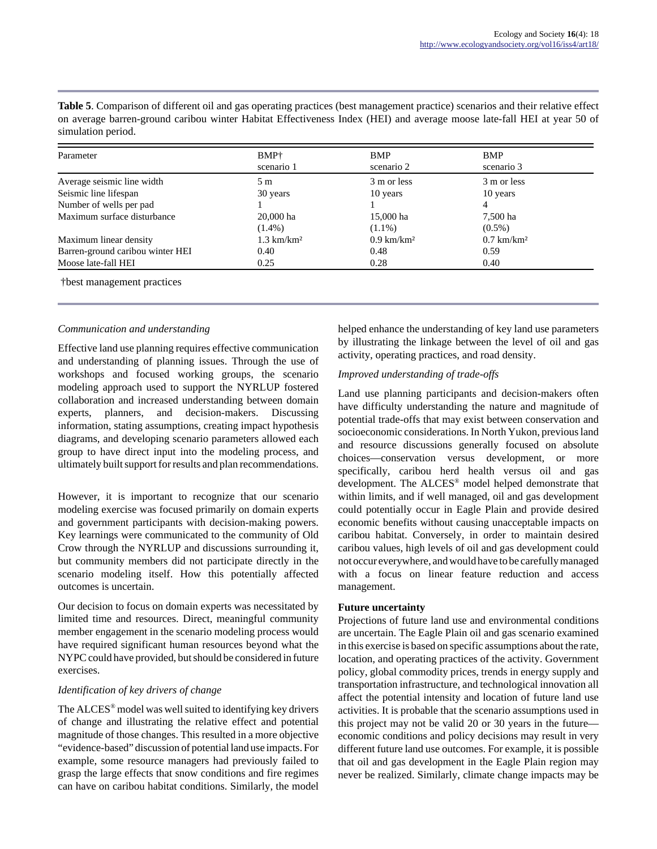| Parameter                        | BMP†<br>scenario 1    | BMP<br>scenario 2        | <b>BMP</b><br>scenario 3 |
|----------------------------------|-----------------------|--------------------------|--------------------------|
| Average seismic line width       | 5 m                   | 3 m or less              | 3 m or less              |
| Seismic line lifespan            | 30 years              | 10 years                 | 10 years                 |
| Number of wells per pad          |                       |                          | 4                        |
| Maximum surface disturbance      | 20,000 ha             | 15,000 ha                | 7,500 ha                 |
|                                  | $(1.4\%)$             | $(1.1\%)$                | $(0.5\%)$                |
| Maximum linear density           | $1.3 \text{ km/km}^2$ | $0.9$ km/km <sup>2</sup> | $0.7$ km/km <sup>2</sup> |
| Barren-ground caribou winter HEI | 0.40                  | 0.48                     | 0.59                     |
| Moose late-fall HEI              | 0.25                  | 0.28                     | 0.40                     |

**Table 5**. Comparison of different oil and gas operating practices (best management practice) scenarios and their relative effect on average barren-ground caribou winter Habitat Effectiveness Index (HEI) and average moose late-fall HEI at year 50 of simulation period.

# *Communication and understanding*

Effective land use planning requires effective communication and understanding of planning issues. Through the use of workshops and focused working groups, the scenario modeling approach used to support the NYRLUP fostered collaboration and increased understanding between domain experts, planners, and decision-makers. Discussing information, stating assumptions, creating impact hypothesis diagrams, and developing scenario parameters allowed each group to have direct input into the modeling process, and ultimately built support for results and plan recommendations.

However, it is important to recognize that our scenario modeling exercise was focused primarily on domain experts and government participants with decision-making powers. Key learnings were communicated to the community of Old Crow through the NYRLUP and discussions surrounding it, but community members did not participate directly in the scenario modeling itself. How this potentially affected outcomes is uncertain.

Our decision to focus on domain experts was necessitated by limited time and resources. Direct, meaningful community member engagement in the scenario modeling process would have required significant human resources beyond what the NYPC could have provided, but should be considered in future exercises.

# *Identification of key drivers of change*

The ALCES<sup>®</sup> model was well suited to identifying key drivers of change and illustrating the relative effect and potential magnitude of those changes. This resulted in a more objective "evidence-based" discussion of potential land use impacts. For example, some resource managers had previously failed to grasp the large effects that snow conditions and fire regimes can have on caribou habitat conditions. Similarly, the model helped enhance the understanding of key land use parameters by illustrating the linkage between the level of oil and gas activity, operating practices, and road density.

## *Improved understanding of trade-offs*

Land use planning participants and decision-makers often have difficulty understanding the nature and magnitude of potential trade-offs that may exist between conservation and socioeconomic considerations. In North Yukon, previous land and resource discussions generally focused on absolute choices—conservation versus development, or more specifically, caribou herd health versus oil and gas development. The ALCES<sup>®</sup> model helped demonstrate that within limits, and if well managed, oil and gas development could potentially occur in Eagle Plain and provide desired economic benefits without causing unacceptable impacts on caribou habitat. Conversely, in order to maintain desired caribou values, high levels of oil and gas development could not occur everywhere, and would have to be carefully managed with a focus on linear feature reduction and access management.

# **Future uncertainty**

Projections of future land use and environmental conditions are uncertain. The Eagle Plain oil and gas scenario examined in this exercise is based on specific assumptions about the rate, location, and operating practices of the activity. Government policy, global commodity prices, trends in energy supply and transportation infrastructure, and technological innovation all affect the potential intensity and location of future land use activities. It is probable that the scenario assumptions used in this project may not be valid 20 or 30 years in the future economic conditions and policy decisions may result in very different future land use outcomes. For example, it is possible that oil and gas development in the Eagle Plain region may never be realized. Similarly, climate change impacts may be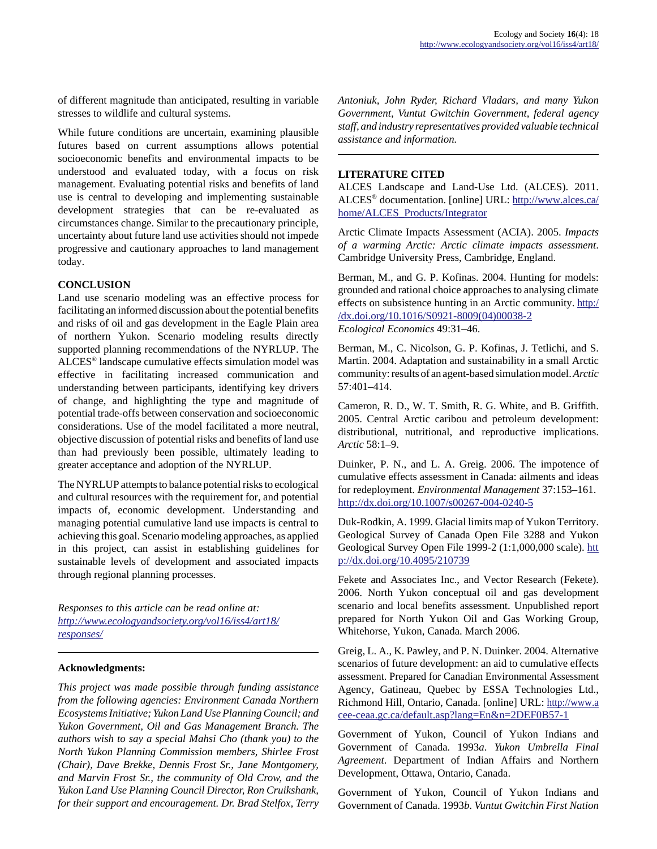of different magnitude than anticipated, resulting in variable stresses to wildlife and cultural systems.

While future conditions are uncertain, examining plausible futures based on current assumptions allows potential socioeconomic benefits and environmental impacts to be understood and evaluated today, with a focus on risk management. Evaluating potential risks and benefits of land use is central to developing and implementing sustainable development strategies that can be re-evaluated as circumstances change. Similar to the precautionary principle, uncertainty about future land use activities should not impede progressive and cautionary approaches to land management today.

# **CONCLUSION**

Land use scenario modeling was an effective process for facilitating an informed discussion about the potential benefits and risks of oil and gas development in the Eagle Plain area of northern Yukon. Scenario modeling results directly supported planning recommendations of the NYRLUP. The ALCES® landscape cumulative effects simulation model was effective in facilitating increased communication and understanding between participants, identifying key drivers of change, and highlighting the type and magnitude of potential trade-offs between conservation and socioeconomic considerations. Use of the model facilitated a more neutral, objective discussion of potential risks and benefits of land use than had previously been possible, ultimately leading to greater acceptance and adoption of the NYRLUP.

The NYRLUP attempts to balance potential risks to ecological and cultural resources with the requirement for, and potential impacts of, economic development. Understanding and managing potential cumulative land use impacts is central to achieving this goal. Scenario modeling approaches, as applied in this project, can assist in establishing guidelines for sustainable levels of development and associated impacts through regional planning processes.

*Responses to this article can be read online at: [http://www](http://www.ecologyandsociety.org/vol16/iss4/art18/responses/).ecologyandsociety.org/vol16/iss4/art18/ responses/*

# **Acknowledgments:**

*This project was made possible through funding assistance from the following agencies: Environment Canada Northern Ecosystems Initiative; Yukon Land Use Planning Council; and Yukon Government, Oil and Gas Management Branch. The authors wish to say a special Mahsi Cho (thank you) to the North Yukon Planning Commission members, Shirlee Frost (Chair), Dave Brekke, Dennis Frost Sr., Jane Montgomery, and Marvin Frost Sr., the community of Old Crow, and the Yukon Land Use Planning Council Director, Ron Cruikshank, for their support and encouragement. Dr. Brad Stelfox, Terry* *Antoniuk, John Ryder, Richard Vladars, and many Yukon Government, Vuntut Gwitchin Government, federal agency staff, and industry representatives provided valuable technical assistance and information.* 

## **LITERATURE CITED**

ALCES Landscape and Land-Use Ltd. (ALCES). 2011. ALCES<sup>®</sup> documentation. [online] URL: [http://www.alces.ca/](http://www.alces.ca/home/ALCES_Products/Integrator) [home/ALCES\\_Products/Integrator](http://www.alces.ca/home/ALCES_Products/Integrator) 

Arctic Climate Impacts Assessment (ACIA). 2005. *Impacts of a warming Arctic: Arctic climate impacts assessment*. Cambridge University Press, Cambridge, England.

Berman, M., and G. P. Kofinas. 2004. Hunting for models: grounded and rational choice approaches to analysing climate effects on subsistence hunting in an Arctic community. [http:/](http://dx.doi.org/10.1016/S0921-8009(04)00038-2) [/dx.doi.org/10.1016/S0921-8009\(04\)00038-2](http://dx.doi.org/10.1016/S0921-8009(04)00038-2) *Ecological Economics* 49:31–46.

Berman, M., C. Nicolson, G. P. Kofinas, J. Tetlichi, and S. Martin. 2004. Adaptation and sustainability in a small Arctic community: results of an agent-based simulation model. *Arctic* 57:401–414.

Cameron, R. D., W. T. Smith, R. G. White, and B. Griffith. 2005. Central Arctic caribou and petroleum development: distributional, nutritional, and reproductive implications. *Arctic* 58:1–9.

Duinker, P. N., and L. A. Greig. 2006. The impotence of cumulative effects assessment in Canada: ailments and ideas for redeployment. *Environmental Management* 37:153–161. <http://dx.doi.org/10.1007/s00267-004-0240-5>

Duk-Rodkin, A. 1999. Glacial limits map of Yukon Territory. Geological Survey of Canada Open File 3288 and Yukon Geological Survey Open File 1999-2 (1:1,000,000 scale). [htt](http://dx.doi.org/10.4095/210739) [p://dx.doi.org/10.4095/210739](http://dx.doi.org/10.4095/210739)

Fekete and Associates Inc., and Vector Research (Fekete). 2006. North Yukon conceptual oil and gas development scenario and local benefits assessment. Unpublished report prepared for North Yukon Oil and Gas Working Group, Whitehorse, Yukon, Canada. March 2006.

Greig, L. A., K. Pawley, and P. N. Duinker. 2004. Alternative scenarios of future development: an aid to cumulative effects assessment. Prepared for Canadian Environmental Assessment Agency, Gatineau, Quebec by ESSA Technologies Ltd., Richmond Hill, Ontario, Canada. [online] URL: [http://www.a](http://www.acee-ceaa.gc.ca/default.asp?lang=En&n=2DEF0B57-1) [cee-ceaa.gc.ca/default.asp?lang=En&n=2DEF0B57-1](http://www.acee-ceaa.gc.ca/default.asp?lang=En&n=2DEF0B57-1)

Government of Yukon, Council of Yukon Indians and Government of Canada. 1993*a*. *Yukon Umbrella Final Agreement*. Department of Indian Affairs and Northern Development, Ottawa, Ontario, Canada.

Government of Yukon, Council of Yukon Indians and Government of Canada. 1993*b*. *Vuntut Gwitchin First Nation*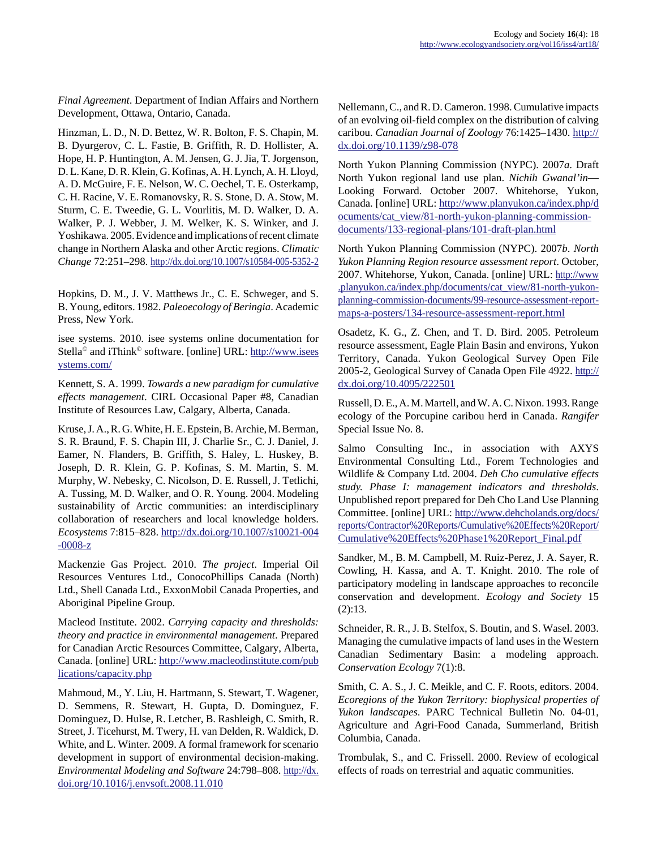*Final Agreement*. Department of Indian Affairs and Northern Development, Ottawa, Ontario, Canada.

Hinzman, L. D., N. D. Bettez, W. R. Bolton, F. S. Chapin, M. B. Dyurgerov, C. L. Fastie, B. Griffith, R. D. Hollister, A. Hope, H. P. Huntington, A. M. Jensen, G. J. Jia, T. Jorgenson, D. L. Kane, D. R. Klein, G. Kofinas, A. H. Lynch, A. H. Lloyd, A. D. McGuire, F. E. Nelson, W. C. Oechel, T. E. Osterkamp, C. H. Racine, V. E. Romanovsky, R. S. Stone, D. A. Stow, M. Sturm, C. E. Tweedie, G. L. Vourlitis, M. D. Walker, D. A. Walker, P. J. Webber, J. M. Welker, K. S. Winker, and J. Yoshikawa. 2005. Evidence and implications of recent climate change in Northern Alaska and other Arctic regions. *Climatic Change* 72:251–298.<http://dx.doi.org/10.1007/s10584-005-5352-2>

Hopkins, D. M., J. V. Matthews Jr., C. E. Schweger, and S. B. Young, editors. 1982. *Paleoecology of Beringia*. Academic Press, New York.

isee systems. 2010. isee systems online documentation for Stella<sup>©</sup> and iThink<sup>©</sup> software. [online] URL: [http://www.isees](http://www.iseesystems.com/) [ystems.com/](http://www.iseesystems.com/)

Kennett, S. A. 1999. *Towards a new paradigm for cumulative effects management*. CIRL Occasional Paper #8, Canadian Institute of Resources Law, Calgary, Alberta, Canada.

Kruse, J. A., R. G. White, H. E. Epstein, B. Archie, M. Berman, S. R. Braund, F. S. Chapin III, J. Charlie Sr., C. J. Daniel, J. Eamer, N. Flanders, B. Griffith, S. Haley, L. Huskey, B. Joseph, D. R. Klein, G. P. Kofinas, S. M. Martin, S. M. Murphy, W. Nebesky, C. Nicolson, D. E. Russell, J. Tetlichi, A. Tussing, M. D. Walker, and O. R. Young. 2004. Modeling sustainability of Arctic communities: an interdisciplinary collaboration of researchers and local knowledge holders. *Ecosystems* 7:815–828. [http://dx.doi.org/10.1007/s10021-004](http://dx.doi.org/10.1007/s10021-004-0008-z) [-0008-z](http://dx.doi.org/10.1007/s10021-004-0008-z)

Mackenzie Gas Project. 2010. *The project*. Imperial Oil Resources Ventures Ltd., ConocoPhillips Canada (North) Ltd., Shell Canada Ltd., ExxonMobil Canada Properties, and Aboriginal Pipeline Group.

Macleod Institute. 2002. *Carrying capacity and thresholds: theory and practice in environmental management*. Prepared for Canadian Arctic Resources Committee, Calgary, Alberta, Canada. [online] URL: [http://www.macleodinstitute.com/pub](http://www.macleodinstitute.com/publications/capacity.php) [lications/capacity.php](http://www.macleodinstitute.com/publications/capacity.php)

Mahmoud, M., Y. Liu, H. Hartmann, S. Stewart, T. Wagener, D. Semmens, R. Stewart, H. Gupta, D. Dominguez, F. Dominguez, D. Hulse, R. Letcher, B. Rashleigh, C. Smith, R. Street, J. Ticehurst, M. Twery, H. van Delden, R. Waldick, D. White, and L. Winter. 2009. A formal framework for scenario development in support of environmental decision-making. *Environmental Modeling and Software* 24:798–808. [http://dx.](http://dx.doi.org/10.1016/j.envsoft.2008.11.010) [doi.org/10.1016/j.envsoft.2008.11.010](http://dx.doi.org/10.1016/j.envsoft.2008.11.010)

Nellemann, C., and R. D. Cameron. 1998. Cumulative impacts of an evolving oil-field complex on the distribution of calving caribou. *Canadian Journal of Zoology* 76:1425–1430. [http://](http://dx.doi.org/10.1139/z98-078) [dx.doi.org/10.1139/z98-078](http://dx.doi.org/10.1139/z98-078)

North Yukon Planning Commission (NYPC). 2007*a*. Draft North Yukon regional land use plan. *Nichih Gwanal'in*— Looking Forward. October 2007. Whitehorse, Yukon, Canada. [online] URL: [http://www.planyukon.ca/index.php/d](http://www.planyukon.ca/index.php/documents/cat_view/81-north-yukon-planning-commission-documents/133-regional-plans/101-draft-plan.html) [ocuments/cat\\_view/81-north-yukon-planning-commission](http://www.planyukon.ca/index.php/documents/cat_view/81-north-yukon-planning-commission-documents/133-regional-plans/101-draft-plan.html)[documents/133-regional-plans/101-draft-plan.html](http://www.planyukon.ca/index.php/documents/cat_view/81-north-yukon-planning-commission-documents/133-regional-plans/101-draft-plan.html)

North Yukon Planning Commission (NYPC). 2007*b*. *North Yukon Planning Region resource assessment report*. October, 2007. Whitehorse, Yukon, Canada. [online] URL: [http://www](http://www.planyukon.ca/index.php/documents/cat_view/81-north-yukon-planning-commission-documents/99-resource-assessment-report-maps-a-posters/134-resource-assessment-report.html) [.planyukon.ca/index.php/documents/cat\\_view/81-north-yukon](http://www.planyukon.ca/index.php/documents/cat_view/81-north-yukon-planning-commission-documents/99-resource-assessment-report-maps-a-posters/134-resource-assessment-report.html)[planning-commission-documents/99-resource-assessment-report](http://www.planyukon.ca/index.php/documents/cat_view/81-north-yukon-planning-commission-documents/99-resource-assessment-report-maps-a-posters/134-resource-assessment-report.html)[maps-a-posters/134-resource-assessment-report.html](http://www.planyukon.ca/index.php/documents/cat_view/81-north-yukon-planning-commission-documents/99-resource-assessment-report-maps-a-posters/134-resource-assessment-report.html)

Osadetz, K. G., Z. Chen, and T. D. Bird. 2005. Petroleum resource assessment, Eagle Plain Basin and environs, Yukon Territory, Canada. Yukon Geological Survey Open File 2005-2, Geological Survey of Canada Open File 4922. [http://](http://dx.doi.org/10.4095/222501) [dx.doi.org/10.4095/222501](http://dx.doi.org/10.4095/222501)

Russell, D. E., A. M. Martell, and W. A. C. Nixon. 1993. Range ecology of the Porcupine caribou herd in Canada. *Rangifer* Special Issue No. 8.

Salmo Consulting Inc., in association with AXYS Environmental Consulting Ltd., Forem Technologies and Wildlife & Company Ltd. 2004. *Deh Cho cumulative effects study. Phase I: management indicators and thresholds*. Unpublished report prepared for Deh Cho Land Use Planning Committee. [online] URL: [http://www.dehcholands.org/docs/](http://www.dehcholands.org/docs/reports/Contractor%20Reports/Cumulative%20Effects%20Report/Cumulative%20Effects%20Phase1%20Report_Final.pdf) [reports/Contractor%20Reports/Cumulative%20Effects%20Report/](http://www.dehcholands.org/docs/reports/Contractor%20Reports/Cumulative%20Effects%20Report/Cumulative%20Effects%20Phase1%20Report_Final.pdf) [Cumulative%20Effects%20Phase1%20Report\\_Final.pdf](http://www.dehcholands.org/docs/reports/Contractor%20Reports/Cumulative%20Effects%20Report/Cumulative%20Effects%20Phase1%20Report_Final.pdf)

Sandker, M., B. M. Campbell, M. Ruiz-Perez, J. A. Sayer, R. Cowling, H. Kassa, and A. T. Knight. 2010. The role of participatory modeling in landscape approaches to reconcile conservation and development. *Ecology and Society* 15 (2):13.

Schneider, R. R., J. B. Stelfox, S. Boutin, and S. Wasel. 2003. Managing the cumulative impacts of land uses in the Western Canadian Sedimentary Basin: a modeling approach. *Conservation Ecology* 7(1):8.

Smith, C. A. S., J. C. Meikle, and C. F. Roots, editors. 2004. *Ecoregions of the Yukon Territory: biophysical properties of Yukon landscapes*. PARC Technical Bulletin No. 04-01, Agriculture and Agri-Food Canada, Summerland, British Columbia, Canada.

Trombulak, S., and C. Frissell. 2000. Review of ecological effects of roads on terrestrial and aquatic communities.